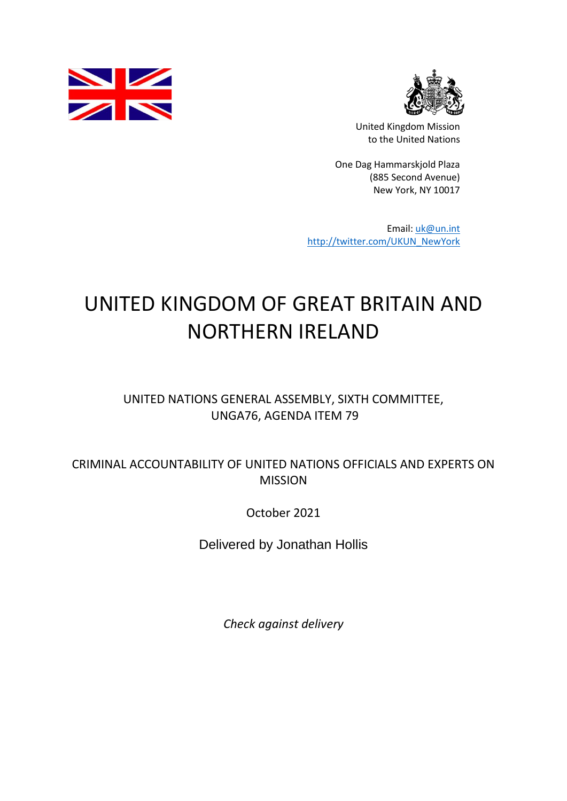



United Kingdom Mission to the United Nations

One Dag Hammarskjold Plaza (885 Second Avenue) New York, NY 10017

Email: [uk@un.int](mailto:uk@un.int) [http://twitter.com/UKUN\\_NewYork](http://twitter.com/UKUN_NewYork)

## UNITED KINGDOM OF GREAT BRITAIN AND NORTHERN IRELAND

## UNITED NATIONS GENERAL ASSEMBLY, SIXTH COMMITTEE, UNGA76, AGENDA ITEM 79

## CRIMINAL ACCOUNTABILITY OF UNITED NATIONS OFFICIALS AND EXPERTS ON **MISSION**

October 2021

Delivered by Jonathan Hollis

*Check against delivery*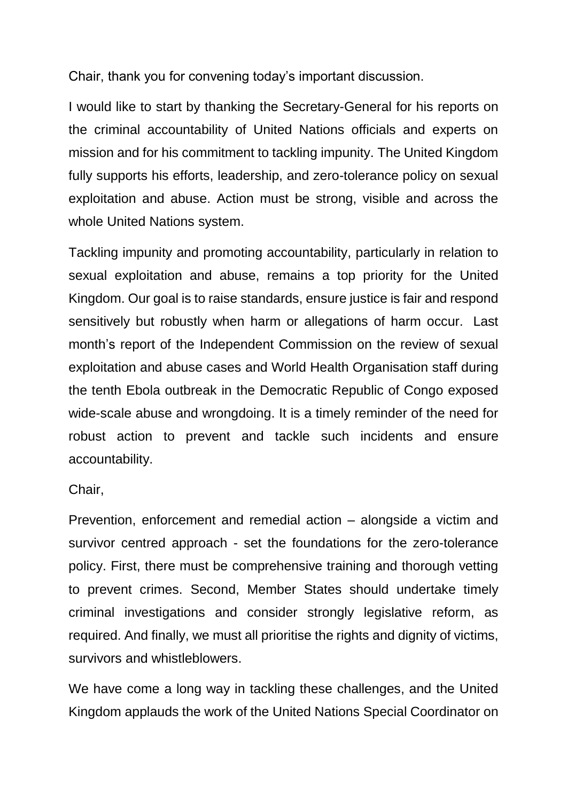Chair, thank you for convening today's important discussion.

I would like to start by thanking the Secretary-General for his reports on the criminal accountability of United Nations officials and experts on mission and for his commitment to tackling impunity. The United Kingdom fully supports his efforts, leadership, and zero-tolerance policy on sexual exploitation and abuse. Action must be strong, visible and across the whole United Nations system.

Tackling impunity and promoting accountability, particularly in relation to sexual exploitation and abuse, remains a top priority for the United Kingdom. Our goal is to raise standards, ensure justice is fair and respond sensitively but robustly when harm or allegations of harm occur. Last month's report of the Independent Commission on the review of sexual exploitation and abuse cases and World Health Organisation staff during the tenth Ebola outbreak in the Democratic Republic of Congo exposed wide-scale abuse and wrongdoing. It is a timely reminder of the need for robust action to prevent and tackle such incidents and ensure accountability.

Chair,

Prevention, enforcement and remedial action – alongside a victim and survivor centred approach - set the foundations for the zero-tolerance policy. First, there must be comprehensive training and thorough vetting to prevent crimes. Second, Member States should undertake timely criminal investigations and consider strongly legislative reform, as required. And finally, we must all prioritise the rights and dignity of victims, survivors and whistleblowers.

We have come a long way in tackling these challenges, and the United Kingdom applauds the work of the United Nations Special Coordinator on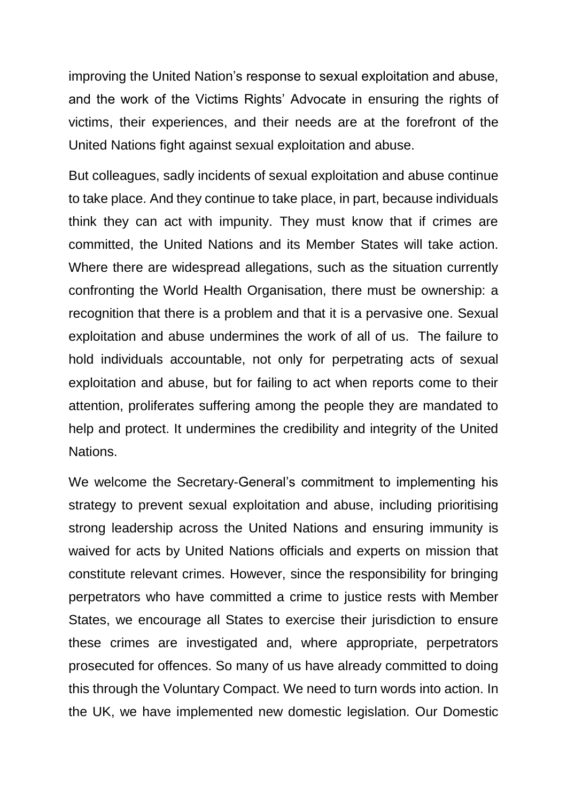improving the United Nation's response to sexual exploitation and abuse, and the work of the Victims Rights' Advocate in ensuring the rights of victims, their experiences, and their needs are at the forefront of the United Nations fight against sexual exploitation and abuse.

But colleagues, sadly incidents of sexual exploitation and abuse continue to take place. And they continue to take place, in part, because individuals think they can act with impunity. They must know that if crimes are committed, the United Nations and its Member States will take action. Where there are widespread allegations, such as the situation currently confronting the World Health Organisation, there must be ownership: a recognition that there is a problem and that it is a pervasive one. Sexual exploitation and abuse undermines the work of all of us. The failure to hold individuals accountable, not only for perpetrating acts of sexual exploitation and abuse, but for failing to act when reports come to their attention, proliferates suffering among the people they are mandated to help and protect. It undermines the credibility and integrity of the United **Nations** 

We welcome the Secretary-General's commitment to implementing his strategy to prevent sexual exploitation and abuse, including prioritising strong leadership across the United Nations and ensuring immunity is waived for acts by United Nations officials and experts on mission that constitute relevant crimes. However, since the responsibility for bringing perpetrators who have committed a crime to justice rests with Member States, we encourage all States to exercise their jurisdiction to ensure these crimes are investigated and, where appropriate, perpetrators prosecuted for offences. So many of us have already committed to doing this through the Voluntary Compact. We need to turn words into action. In the UK, we have implemented new domestic legislation. Our Domestic